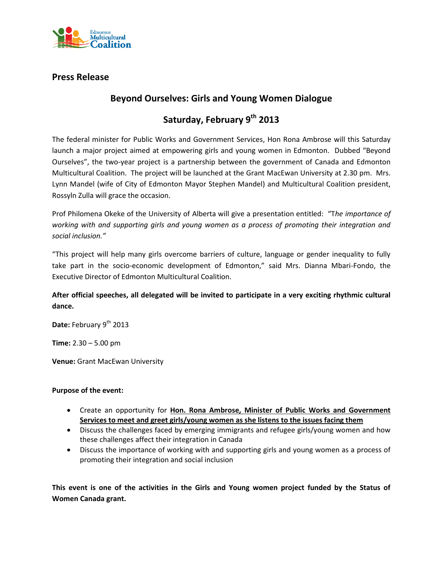

### **Press Release**

## **Beyond Ourselves: Girls and Young Women Dialogue**

# **Saturday, February 9th 2013**

The federal minister for Public Works and Government Services, Hon Rona Ambrose will this Saturday launch a major project aimed at empowering girls and young women in Edmonton. Dubbed "Beyond Ourselves", the two-year project is a partnership between the government of Canada and Edmonton Multicultural Coalition. The project will be launched at the Grant MacEwan University at 2.30 pm. Mrs. Lynn Mandel (wife of City of Edmonton Mayor Stephen Mandel) and Multicultural Coalition president, Rossyln Zulla will grace the occasion.

Prof Philomena Okeke of the University of Alberta will give a presentation entitled: "T*he importance of working with and supporting girls and young women as a process of promoting their integration and social inclusion."*

"This project will help many girls overcome barriers of culture, language or gender inequality to fully take part in the socio-economic development of Edmonton," said Mrs. Dianna Mbari-Fondo, the Executive Director of Edmonton Multicultural Coalition.

**After official speeches, all delegated will be invited to participate in a very exciting rhythmic cultural dance.**

Date: February 9<sup>th</sup> 2013

**Time:** 2.30 – 5.00 pm

**Venue:** Grant MacEwan University

#### **Purpose of the event:**

- Create an opportunity for **Hon. Rona Ambrose, Minister of Public Works and Government Services to meet and greet girls/young women as she listens to the issues facing them**
- Discuss the challenges faced by emerging immigrants and refugee girls/young women and how these challenges affect their integration in Canada
- Discuss the importance of working with and supporting girls and young women as a process of promoting their integration and social inclusion

**This event is one of the activities in the Girls and Young women project funded by the Status of Women Canada grant.**